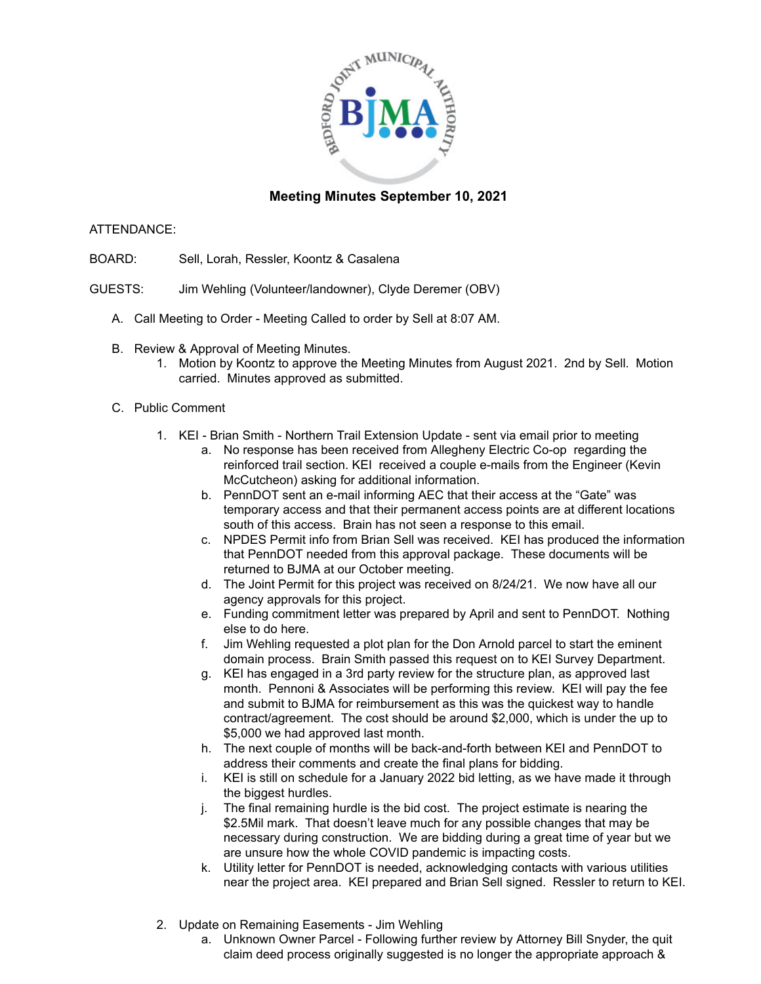

## **Meeting Minutes September 10, 2021**

## ATTENDANCE:

- BOARD: Sell, Lorah, Ressler, Koontz & Casalena
- GUESTS: Jim Wehling (Volunteer/landowner), Clyde Deremer (OBV)
	- A. Call Meeting to Order Meeting Called to order by Sell at 8:07 AM.
	- B. Review & Approval of Meeting Minutes.
		- 1. Motion by Koontz to approve the Meeting Minutes from August 2021. 2nd by Sell. Motion carried. Minutes approved as submitted.
	- C. Public Comment
		- 1. KEI Brian Smith Northern Trail Extension Update sent via email prior to meeting
			- a. No response has been received from Allegheny Electric Co-op regarding the reinforced trail section. KEI received a couple e-mails from the Engineer (Kevin McCutcheon) asking for additional information.
			- b. PennDOT sent an e-mail informing AEC that their access at the "Gate" was temporary access and that their permanent access points are at different locations south of this access. Brain has not seen a response to this email.
			- c. NPDES Permit info from Brian Sell was received. KEI has produced the information that PennDOT needed from this approval package. These documents will be returned to BJMA at our October meeting.
			- d. The Joint Permit for this project was received on 8/24/21. We now have all our agency approvals for this project.
			- e. Funding commitment letter was prepared by April and sent to PennDOT. Nothing else to do here.
			- f. Jim Wehling requested a plot plan for the Don Arnold parcel to start the eminent domain process. Brain Smith passed this request on to KEI Survey Department.
			- g. KEI has engaged in a 3rd party review for the structure plan, as approved last month. Pennoni & Associates will be performing this review. KEI will pay the fee and submit to BJMA for reimbursement as this was the quickest way to handle contract/agreement. The cost should be around \$2,000, which is under the up to \$5,000 we had approved last month.
			- h. The next couple of months will be back-and-forth between KEI and PennDOT to address their comments and create the final plans for bidding.
			- i. KEI is still on schedule for a January 2022 bid letting, as we have made it through the biggest hurdles.
			- j. The final remaining hurdle is the bid cost. The project estimate is nearing the \$2.5Mil mark. That doesn't leave much for any possible changes that may be necessary during construction. We are bidding during a great time of year but we are unsure how the whole COVID pandemic is impacting costs.
			- k. Utility letter for PennDOT is needed, acknowledging contacts with various utilities near the project area. KEI prepared and Brian Sell signed. Ressler to return to KEI.
		- 2. Update on Remaining Easements Jim Wehling
			- a. Unknown Owner Parcel Following further review by Attorney Bill Snyder, the quit claim deed process originally suggested is no longer the appropriate approach &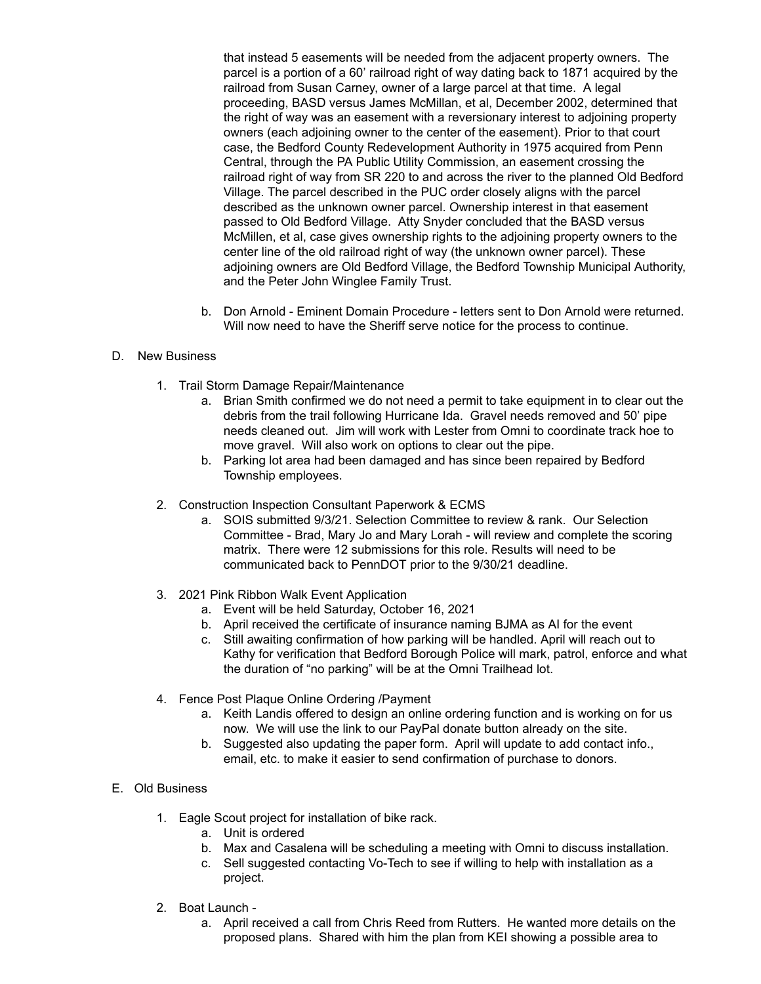that instead 5 easements will be needed from the adjacent property owners. The parcel is a portion of a 60' railroad right of way dating back to 1871 acquired by the railroad from Susan Carney, owner of a large parcel at that time. A legal proceeding, BASD versus James McMillan, et al, December 2002, determined that the right of way was an easement with a reversionary interest to adjoining property owners (each adjoining owner to the center of the easement). Prior to that court case, the Bedford County Redevelopment Authority in 1975 acquired from Penn Central, through the PA Public Utility Commission, an easement crossing the railroad right of way from SR 220 to and across the river to the planned Old Bedford Village. The parcel described in the PUC order closely aligns with the parcel described as the unknown owner parcel. Ownership interest in that easement passed to Old Bedford Village. Atty Snyder concluded that the BASD versus McMillen, et al, case gives ownership rights to the adjoining property owners to the center line of the old railroad right of way (the unknown owner parcel). These adjoining owners are Old Bedford Village, the Bedford Township Municipal Authority, and the Peter John Winglee Family Trust.

b. Don Arnold - Eminent Domain Procedure - letters sent to Don Arnold were returned. Will now need to have the Sheriff serve notice for the process to continue.

## D. New Business

- 1. Trail Storm Damage Repair/Maintenance
	- a. Brian Smith confirmed we do not need a permit to take equipment in to clear out the debris from the trail following Hurricane Ida. Gravel needs removed and 50' pipe needs cleaned out. Jim will work with Lester from Omni to coordinate track hoe to move gravel. Will also work on options to clear out the pipe.
	- b. Parking lot area had been damaged and has since been repaired by Bedford Township employees.
- 2. Construction Inspection Consultant Paperwork & ECMS
	- a. SOIS submitted 9/3/21. Selection Committee to review & rank. Our Selection Committee - Brad, Mary Jo and Mary Lorah - will review and complete the scoring matrix. There were 12 submissions for this role. Results will need to be communicated back to PennDOT prior to the 9/30/21 deadline.
- 3. 2021 Pink Ribbon Walk Event Application
	- a. Event will be held Saturday, October 16, 2021
	- b. April received the certificate of insurance naming BJMA as AI for the event
	- c. Still awaiting confirmation of how parking will be handled. April will reach out to Kathy for verification that Bedford Borough Police will mark, patrol, enforce and what the duration of "no parking" will be at the Omni Trailhead lot.
- 4. Fence Post Plaque Online Ordering /Payment
	- a. Keith Landis offered to design an online ordering function and is working on for us now. We will use the link to our PayPal donate button already on the site.
	- b. Suggested also updating the paper form. April will update to add contact info., email, etc. to make it easier to send confirmation of purchase to donors.
- E. Old Business
	- 1. Eagle Scout project for installation of bike rack.
		- a. Unit is ordered
			- b. Max and Casalena will be scheduling a meeting with Omni to discuss installation.
			- c. Sell suggested contacting Vo-Tech to see if willing to help with installation as a project.
	- 2. Boat Launch
		- a. April received a call from Chris Reed from Rutters. He wanted more details on the proposed plans. Shared with him the plan from KEI showing a possible area to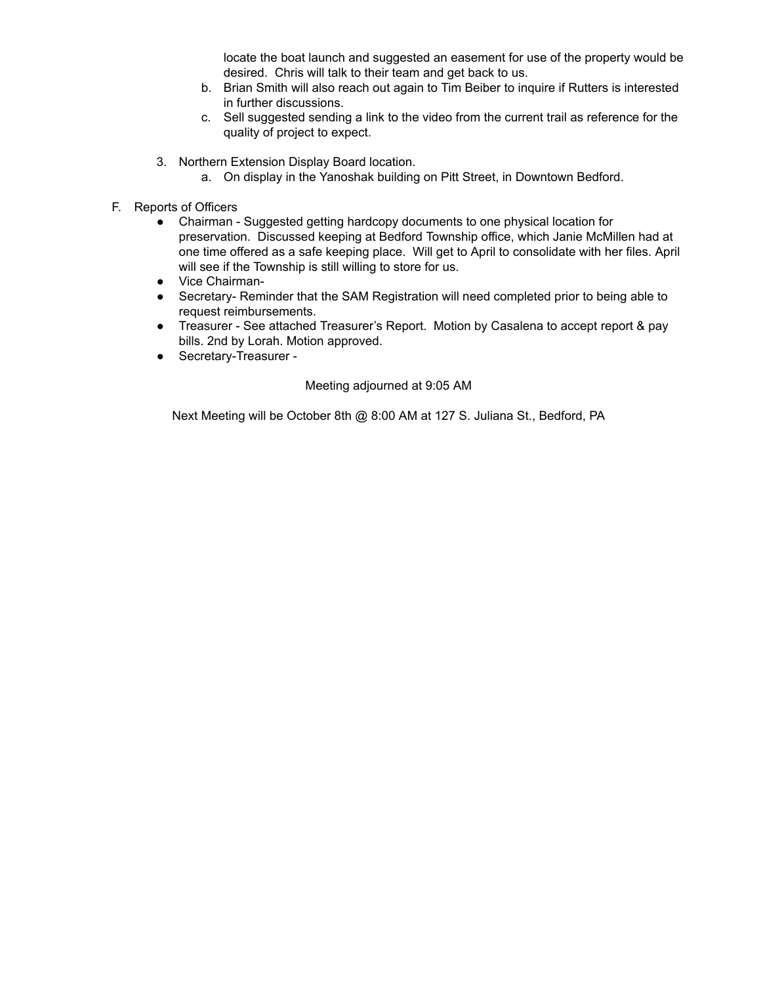locate the boat launch and suggested an easement for use of the property would be desired. Chris will talk to their team and get back to us.

- b. Brian Smith will also reach out again to Tim Beiber to inquire if Rutters is interested in further discussions.
- c. Sell suggested sending a link to the video from the current trail as reference for the quality of project to expect.
- 3. Northern Extension Display Board location.
	- a. On display in the Yanoshak building on Pitt Street, in Downtown Bedford.
- F. Reports of Officers
	- Chairman Suggested getting hardcopy documents to one physical location for preservation. Discussed keeping at Bedford Township office, which Janie McMillen had at one time offered as a safe keeping place. Will get to April to consolidate with her files. April will see if the Township is still willing to store for us.
	- Vice Chairman-
	- Secretary- Reminder that the SAM Registration will need completed prior to being able to request reimbursements.
	- Treasurer See attached Treasurer's Report. Motion by Casalena to accept report & pay bills. 2nd by Lorah. Motion approved.
	- Secretary-Treasurer -

## Meeting adjourned at 9:05 AM

Next Meeting will be October 8th @ 8:00 AM at 127 S. Juliana St., Bedford, PA